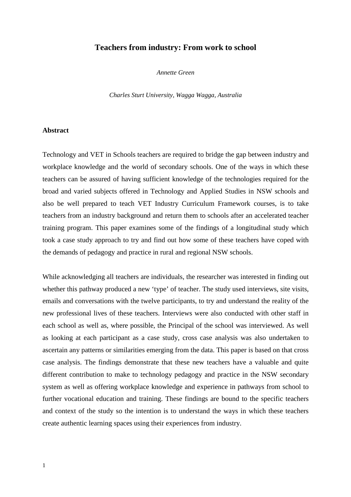# **Teachers from industry: From work to school**

*Annette Green* 

*Charles Sturt University, Wagga Wagga, Australia* 

#### **Abstract**

Technology and VET in Schools teachers are required to bridge the gap between industry and workplace knowledge and the world of secondary schools. One of the ways in which these teachers can be assured of having sufficient knowledge of the technologies required for the broad and varied subjects offered in Technology and Applied Studies in NSW schools and also be well prepared to teach VET Industry Curriculum Framework courses, is to take teachers from an industry background and return them to schools after an accelerated teacher training program. This paper examines some of the findings of a longitudinal study which took a case study approach to try and find out how some of these teachers have coped with the demands of pedagogy and practice in rural and regional NSW schools.

While acknowledging all teachers are individuals, the researcher was interested in finding out whether this pathway produced a new 'type' of teacher. The study used interviews, site visits, emails and conversations with the twelve participants, to try and understand the reality of the new professional lives of these teachers. Interviews were also conducted with other staff in each school as well as, where possible, the Principal of the school was interviewed. As well as looking at each participant as a case study, cross case analysis was also undertaken to ascertain any patterns or similarities emerging from the data. This paper is based on that cross case analysis. The findings demonstrate that these new teachers have a valuable and quite different contribution to make to technology pedagogy and practice in the NSW secondary system as well as offering workplace knowledge and experience in pathways from school to further vocational education and training. These findings are bound to the specific teachers and context of the study so the intention is to understand the ways in which these teachers create authentic learning spaces using their experiences from industry.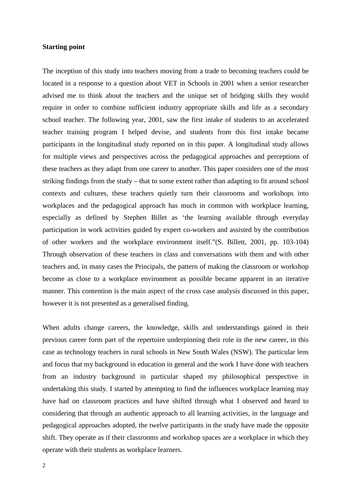# **Starting point**

The inception of this study into teachers moving from a trade to becoming teachers could be located in a response to a question about VET in Schools in 2001 when a senior researcher advised me to think about the teachers and the unique set of bridging skills they would require in order to combine sufficient industry appropriate skills and life as a secondary school teacher. The following year, 2001, saw the first intake of students to an accelerated teacher training program I helped devise, and students from this first intake became participants in the longitudinal study reported on in this paper. A longitudinal study allows for multiple views and perspectives across the pedagogical approaches and perceptions of these teachers as they adapt from one career to another. This paper considers one of the most striking findings from the study – that to some extent rather than adapting to fit around school contexts and cultures, these teachers quietly turn their classrooms and workshops into workplaces and the pedagogical approach has much in common with workplace learning, especially as defined by Stephen Billet as 'the learning available through everyday participation in work activities guided by expert co-workers and assisted by the contribution of other workers and the workplace environment itself."(S. Billett, 2001, pp. 103-104) Through observation of these teachers in class and conversations with them and with other teachers and, in many cases the Principals, the pattern of making the classroom or workshop become as close to a workplace environment as possible became apparent in an iterative manner. This contention is the main aspect of the cross case analysis discussed in this paper, however it is not presented as a generalised finding.

When adults change careers, the knowledge, skills and understandings gained in their previous career form part of the repertoire underpinning their role in the new career, in this case as technology teachers in rural schools in New South Wales (NSW). The particular lens and focus that my background in education in general and the work I have done with teachers from an industry background in particular shaped my philosophical perspective in undertaking this study. I started by attempting to find the influences workplace learning may have had on classroom practices and have shifted through what I observed and heard to considering that through an authentic approach to all learning activities, in the language and pedagogical approaches adopted, the twelve participants in the study have made the opposite shift. They operate as if their classrooms and workshop spaces are a workplace in which they operate with their students as workplace learners.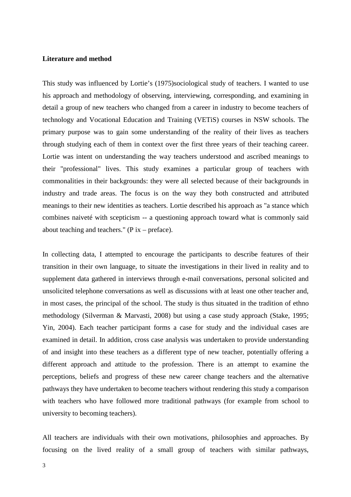# **Literature and method**

This study was influenced by Lortie's (1975)sociological study of teachers. I wanted to use his approach and methodology of observing, interviewing, corresponding, and examining in detail a group of new teachers who changed from a career in industry to become teachers of technology and Vocational Education and Training (VETiS) courses in NSW schools. The primary purpose was to gain some understanding of the reality of their lives as teachers through studying each of them in context over the first three years of their teaching career. Lortie was intent on understanding the way teachers understood and ascribed meanings to their "professional" lives. This study examines a particular group of teachers with commonalities in their backgrounds: they were all selected because of their backgrounds in industry and trade areas. The focus is on the way they both constructed and attributed meanings to their new identities as teachers. Lortie described his approach as "a stance which combines naiveté with scepticism -- a questioning approach toward what is commonly said about teaching and teachers." ( $P$  ix – preface).

In collecting data, I attempted to encourage the participants to describe features of their transition in their own language, to situate the investigations in their lived in reality and to supplement data gathered in interviews through e-mail conversations, personal solicited and unsolicited telephone conversations as well as discussions with at least one other teacher and, in most cases, the principal of the school. The study is thus situated in the tradition of ethno methodology (Silverman & Marvasti, 2008) but using a case study approach (Stake, 1995; Yin, 2004). Each teacher participant forms a case for study and the individual cases are examined in detail. In addition, cross case analysis was undertaken to provide understanding of and insight into these teachers as a different type of new teacher, potentially offering a different approach and attitude to the profession. There is an attempt to examine the perceptions, beliefs and progress of these new career change teachers and the alternative pathways they have undertaken to become teachers without rendering this study a comparison with teachers who have followed more traditional pathways (for example from school to university to becoming teachers).

All teachers are individuals with their own motivations, philosophies and approaches. By focusing on the lived reality of a small group of teachers with similar pathways,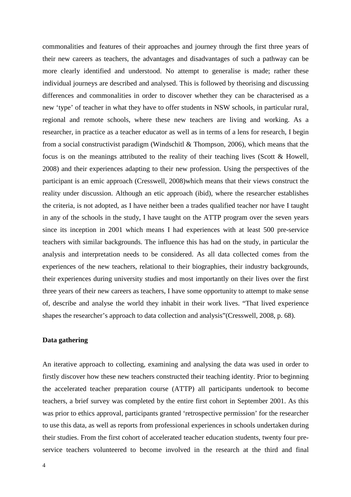commonalities and features of their approaches and journey through the first three years of their new careers as teachers, the advantages and disadvantages of such a pathway can be more clearly identified and understood. No attempt to generalise is made; rather these individual journeys are described and analysed. This is followed by theorising and discussing differences and commonalities in order to discover whether they can be characterised as a new 'type' of teacher in what they have to offer students in NSW schools, in particular rural, regional and remote schools, where these new teachers are living and working. As a researcher, in practice as a teacher educator as well as in terms of a lens for research, I begin from a social constructivist paradigm (Windschitl & Thompson, 2006), which means that the focus is on the meanings attributed to the reality of their teaching lives (Scott & Howell, 2008) and their experiences adapting to their new profession. Using the perspectives of the participant is an emic approach (Cresswell, 2008)which means that their views construct the reality under discussion. Although an etic approach (ibid), where the researcher establishes the criteria, is not adopted, as I have neither been a trades qualified teacher nor have I taught in any of the schools in the study, I have taught on the ATTP program over the seven years since its inception in 2001 which means I had experiences with at least 500 pre-service teachers with similar backgrounds. The influence this has had on the study, in particular the analysis and interpretation needs to be considered. As all data collected comes from the experiences of the new teachers, relational to their biographies, their industry backgrounds, their experiences during university studies and most importantly on their lives over the first three years of their new careers as teachers, I have some opportunity to attempt to make sense of, describe and analyse the world they inhabit in their work lives. "That lived experience shapes the researcher's approach to data collection and analysis"(Cresswell, 2008, p. 68).

# **Data gathering**

An iterative approach to collecting, examining and analysing the data was used in order to firstly discover how these new teachers constructed their teaching identity. Prior to beginning the accelerated teacher preparation course (ATTP) all participants undertook to become teachers, a brief survey was completed by the entire first cohort in September 2001. As this was prior to ethics approval, participants granted 'retrospective permission' for the researcher to use this data, as well as reports from professional experiences in schools undertaken during their studies. From the first cohort of accelerated teacher education students, twenty four preservice teachers volunteered to become involved in the research at the third and final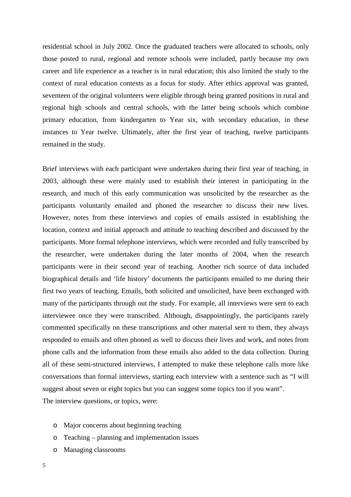residential school in July 2002. Once the graduated teachers were allocated to schools, only those posted to rural, regional and remote schools were included, partly because my own career and life experience as a teacher is in rural education; this also limited the study to the context of rural education contexts as a focus for study. After ethics approval was granted, seventeen of the original volunteers were eligible through being granted positions in rural and regional high schools and central schools, with the latter being schools which combine primary education, from kindergarten to Year six, with secondary education, in these instances to Year twelve. Ultimately, after the first year of teaching, twelve participants remained in the study.

Brief interviews with each participant were undertaken during their first year of teaching, in 2003, although these were mainly used to establish their interest in participating in the research, and much of this early communication was unsolicited by the researcher as the participants voluntarily emailed and phoned the researcher to discuss their new lives. However, notes from these interviews and copies of emails assisted in establishing the location, context and initial approach and attitude to teaching described and discussed by the participants. More formal telephone interviews, which were recorded and fully transcribed by the researcher, were undertaken during the later months of 2004, when the research participants were in their second year of teaching. Another rich source of data included biographical details and 'life history' documents the participants emailed to me during their first two years of teaching. Emails, both solicited and unsolicited, have been exchanged with many of the participants through out the study. For example, all interviews were sent to each interviewee once they were transcribed. Although, disappointingly, the participants rarely commented specifically on these transcriptions and other material sent to them, they always responded to emails and often phoned as well to discuss their lives and work, and notes from phone calls and the information from these emails also added to the data collection. During all of these semi-structured interviews, I attempted to make these telephone calls more like conversations than formal interviews, starting each interview with a sentence such as "I will suggest about seven or eight topics but you can suggest some topics too if you want". The interview questions, or topics, were:

- o Major concerns about beginning teaching
- o Teaching planning and implementation issues
- o Managing classrooms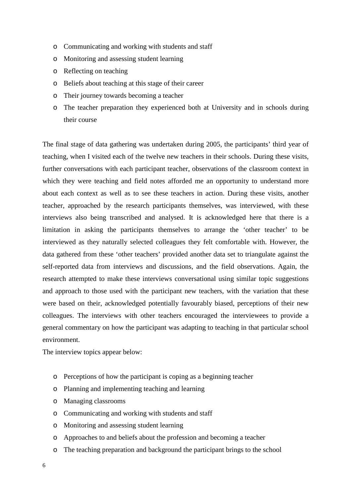- o Communicating and working with students and staff
- o Monitoring and assessing student learning
- o Reflecting on teaching
- o Beliefs about teaching at this stage of their career
- o Their journey towards becoming a teacher
- o The teacher preparation they experienced both at University and in schools during their course

The final stage of data gathering was undertaken during 2005, the participants' third year of teaching, when I visited each of the twelve new teachers in their schools. During these visits, further conversations with each participant teacher, observations of the classroom context in which they were teaching and field notes afforded me an opportunity to understand more about each context as well as to see these teachers in action. During these visits, another teacher, approached by the research participants themselves, was interviewed, with these interviews also being transcribed and analysed. It is acknowledged here that there is a limitation in asking the participants themselves to arrange the 'other teacher' to be interviewed as they naturally selected colleagues they felt comfortable with. However, the data gathered from these 'other teachers' provided another data set to triangulate against the self-reported data from interviews and discussions, and the field observations. Again, the research attempted to make these interviews conversational using similar topic suggestions and approach to those used with the participant new teachers, with the variation that these were based on their, acknowledged potentially favourably biased, perceptions of their new colleagues. The interviews with other teachers encouraged the interviewees to provide a general commentary on how the participant was adapting to teaching in that particular school environment.

The interview topics appear below:

- o Perceptions of how the participant is coping as a beginning teacher
- o Planning and implementing teaching and learning
- o Managing classrooms
- o Communicating and working with students and staff
- o Monitoring and assessing student learning
- o Approaches to and beliefs about the profession and becoming a teacher
- o The teaching preparation and background the participant brings to the school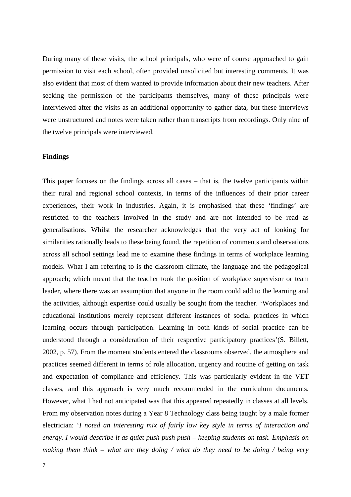During many of these visits, the school principals, who were of course approached to gain permission to visit each school, often provided unsolicited but interesting comments. It was also evident that most of them wanted to provide information about their new teachers. After seeking the permission of the participants themselves, many of these principals were interviewed after the visits as an additional opportunity to gather data, but these interviews were unstructured and notes were taken rather than transcripts from recordings. Only nine of the twelve principals were interviewed.

#### **Findings**

This paper focuses on the findings across all cases – that is, the twelve participants within their rural and regional school contexts, in terms of the influences of their prior career experiences, their work in industries. Again, it is emphasised that these 'findings' are restricted to the teachers involved in the study and are not intended to be read as generalisations. Whilst the researcher acknowledges that the very act of looking for similarities rationally leads to these being found, the repetition of comments and observations across all school settings lead me to examine these findings in terms of workplace learning models. What I am referring to is the classroom climate, the language and the pedagogical approach; which meant that the teacher took the position of workplace supervisor or team leader, where there was an assumption that anyone in the room could add to the learning and the activities, although expertise could usually be sought from the teacher. 'Workplaces and educational institutions merely represent different instances of social practices in which learning occurs through participation. Learning in both kinds of social practice can be understood through a consideration of their respective participatory practices'(S. Billett, 2002, p. 57). From the moment students entered the classrooms observed, the atmosphere and practices seemed different in terms of role allocation, urgency and routine of getting on task and expectation of compliance and efficiency. This was particularly evident in the VET classes, and this approach is very much recommended in the curriculum documents. However, what I had not anticipated was that this appeared repeatedly in classes at all levels. From my observation notes during a Year 8 Technology class being taught by a male former electrician: '*I noted an interesting mix of fairly low key style in terms of interaction and energy. I would describe it as quiet push push push – keeping students on task. Emphasis on making them think – what are they doing / what do they need to be doing / being very*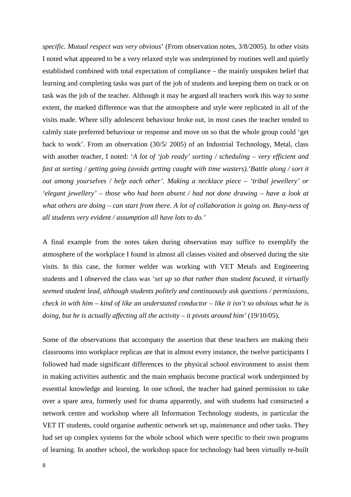*specific. Mutual respect was very obvious*' (From observation notes, 3/8/2005). In other visits I noted what appeared to be a very relaxed style was underpinned by routines well and quietly established combined with total expectation of compliance – the mainly unspoken belief that learning and completing tasks was part of the job of students and keeping them on track or on task was the job of the teacher. Although it may be argued all teachers work this way to some extent, the marked difference was that the atmosphere and style were replicated in all of the visits made. Where silly adolescent behaviour broke out, in most cases the teacher tended to calmly state preferred behaviour or response and move on so that the whole group could 'get back to work'. From an observation (30/5/ 2005) of an Industrial Technology, Metal, class with another teacher, I noted: '*A lot of 'job ready' sorting / scheduling – very efficient and fast at sorting / getting going (avoids getting caught with time wasters).'Battle along / sort it out among yourselves / help each other'. Making a necklace piece – 'tribal jewellery' or 'elegant jewellery' – those who had been absent / had not done drawing – have a look at what others are doing – can start from there. A lot of collaboration is going on. Busy-ness of all students very evident / assumption all have lots to do.'* 

A final example from the notes taken during observation may suffice to exemplify the atmosphere of the workplace I found in almost all classes visited and observed during the site visits. In this case, the former welder was working with VET Metals and Engineering students and I observed the class was '*set up so that rather than student focused, it virtually seemed student lead, although students politely and continuously ask questions / permissions, check in with him – kind of like an understated conductor – like it isn't so obvious what he is doing, but he is actually affecting all the activity – it pivots around him'* (19/10/05).

Some of the observations that accompany the assertion that these teachers are making their classrooms into workplace replicas are that in almost every instance, the twelve participants I followed had made significant differences to the physical school environment to assist them in making activities authentic and the main emphasis become practical work underpinned by essential knowledge and learning. In one school, the teacher had gained permission to take over a spare area, formerly used for drama apparently, and with students had constructed a network centre and workshop where all Information Technology students, in particular the VET IT students, could organise authentic network set up, maintenance and other tasks. They had set up complex systems for the whole school which were specific to their own programs of learning. In another school, the workshop space for technology had been virtually re-built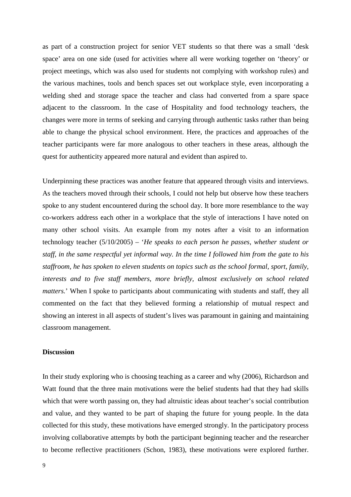as part of a construction project for senior VET students so that there was a small 'desk space' area on one side (used for activities where all were working together on 'theory' or project meetings, which was also used for students not complying with workshop rules) and the various machines, tools and bench spaces set out workplace style, even incorporating a welding shed and storage space the teacher and class had converted from a spare space adjacent to the classroom. In the case of Hospitality and food technology teachers, the changes were more in terms of seeking and carrying through authentic tasks rather than being able to change the physical school environment. Here, the practices and approaches of the teacher participants were far more analogous to other teachers in these areas, although the quest for authenticity appeared more natural and evident than aspired to.

Underpinning these practices was another feature that appeared through visits and interviews. As the teachers moved through their schools, I could not help but observe how these teachers spoke to any student encountered during the school day. It bore more resemblance to the way co-workers address each other in a workplace that the style of interactions I have noted on many other school visits. An example from my notes after a visit to an information technology teacher (5/10/2005) – '*He speaks to each person he passes, whether student or staff, in the same respectful yet informal way. In the time I followed him from the gate to his staffroom, he has spoken to eleven students on topics such as the school formal, sport, family, interests and to five staff members, more briefly, almost exclusively on school related matters.*' When I spoke to participants about communicating with students and staff, they all commented on the fact that they believed forming a relationship of mutual respect and showing an interest in all aspects of student's lives was paramount in gaining and maintaining classroom management.

# **Discussion**

In their study exploring who is choosing teaching as a career and why (2006), Richardson and Watt found that the three main motivations were the belief students had that they had skills which that were worth passing on, they had altruistic ideas about teacher's social contribution and value, and they wanted to be part of shaping the future for young people. In the data collected for this study, these motivations have emerged strongly. In the participatory process involving collaborative attempts by both the participant beginning teacher and the researcher to become reflective practitioners (Schon, 1983), these motivations were explored further.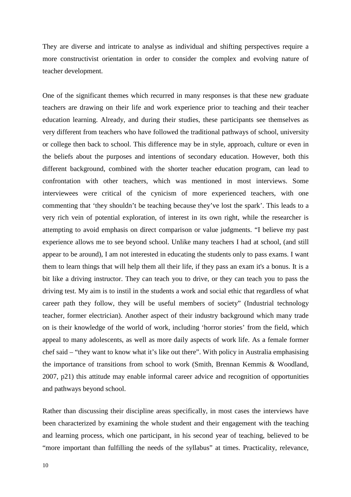They are diverse and intricate to analyse as individual and shifting perspectives require a more constructivist orientation in order to consider the complex and evolving nature of teacher development.

One of the significant themes which recurred in many responses is that these new graduate teachers are drawing on their life and work experience prior to teaching and their teacher education learning. Already, and during their studies, these participants see themselves as very different from teachers who have followed the traditional pathways of school, university or college then back to school. This difference may be in style, approach, culture or even in the beliefs about the purposes and intentions of secondary education. However, both this different background, combined with the shorter teacher education program, can lead to confrontation with other teachers, which was mentioned in most interviews. Some interviewees were critical of the cynicism of more experienced teachers, with one commenting that 'they shouldn't be teaching because they've lost the spark'. This leads to a very rich vein of potential exploration, of interest in its own right, while the researcher is attempting to avoid emphasis on direct comparison or value judgments. "I believe my past experience allows me to see beyond school. Unlike many teachers I had at school, (and still appear to be around), I am not interested in educating the students only to pass exams. I want them to learn things that will help them all their life, if they pass an exam it's a bonus. It is a bit like a driving instructor. They can teach you to drive, or they can teach you to pass the driving test. My aim is to instil in the students a work and social ethic that regardless of what career path they follow, they will be useful members of society" (Industrial technology teacher, former electrician). Another aspect of their industry background which many trade on is their knowledge of the world of work, including 'horror stories' from the field, which appeal to many adolescents, as well as more daily aspects of work life. As a female former chef said – "they want to know what it's like out there". With policy in Australia emphasising the importance of transitions from school to work (Smith, Brennan Kemmis & Woodland, 2007, p21) this attitude may enable informal career advice and recognition of opportunities and pathways beyond school.

Rather than discussing their discipline areas specifically, in most cases the interviews have been characterized by examining the whole student and their engagement with the teaching and learning process, which one participant, in his second year of teaching, believed to be "more important than fulfilling the needs of the syllabus" at times. Practicality, relevance,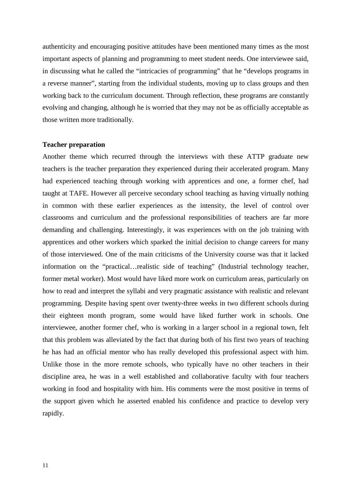authenticity and encouraging positive attitudes have been mentioned many times as the most important aspects of planning and programming to meet student needs. One interviewee said, in discussing what he called the "intricacies of programming" that he "develops programs in a reverse manner", starting from the individual students, moving up to class groups and then working back to the curriculum document. Through reflection, these programs are constantly evolving and changing, although he is worried that they may not be as officially acceptable as those written more traditionally.

#### **Teacher preparation**

Another theme which recurred through the interviews with these ATTP graduate new teachers is the teacher preparation they experienced during their accelerated program. Many had experienced teaching through working with apprentices and one, a former chef, had taught at TAFE. However all perceive secondary school teaching as having virtually nothing in common with these earlier experiences as the intensity, the level of control over classrooms and curriculum and the professional responsibilities of teachers are far more demanding and challenging. Interestingly, it was experiences with on the job training with apprentices and other workers which sparked the initial decision to change careers for many of those interviewed. One of the main criticisms of the University course was that it lacked information on the "practical…realistic side of teaching" (Industrial technology teacher, former metal worker). Most would have liked more work on curriculum areas, particularly on how to read and interpret the syllabi and very pragmatic assistance with realistic and relevant programming. Despite having spent over twenty-three weeks in two different schools during their eighteen month program, some would have liked further work in schools. One interviewee, another former chef, who is working in a larger school in a regional town, felt that this problem was alleviated by the fact that during both of his first two years of teaching he has had an official mentor who has really developed this professional aspect with him. Unlike those in the more remote schools, who typically have no other teachers in their discipline area, he was in a well established and collaborative faculty with four teachers working in food and hospitality with him. His comments were the most positive in terms of the support given which he asserted enabled his confidence and practice to develop very rapidly.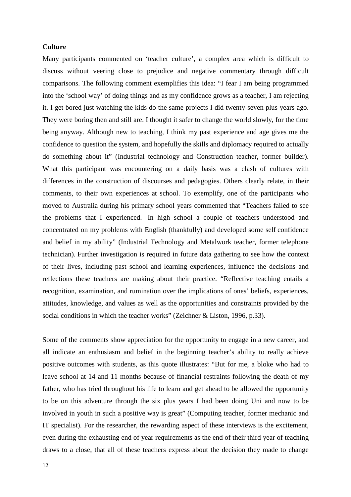# **Culture**

Many participants commented on 'teacher culture', a complex area which is difficult to discuss without veering close to prejudice and negative commentary through difficult comparisons. The following comment exemplifies this idea: "I fear I am being programmed into the 'school way' of doing things and as my confidence grows as a teacher, I am rejecting it. I get bored just watching the kids do the same projects I did twenty-seven plus years ago. They were boring then and still are. I thought it safer to change the world slowly, for the time being anyway. Although new to teaching, I think my past experience and age gives me the confidence to question the system, and hopefully the skills and diplomacy required to actually do something about it" (Industrial technology and Construction teacher, former builder). What this participant was encountering on a daily basis was a clash of cultures with differences in the construction of discourses and pedagogies. Others clearly relate, in their comments, to their own experiences at school. To exemplify, one of the participants who moved to Australia during his primary school years commented that "Teachers failed to see the problems that I experienced. In high school a couple of teachers understood and concentrated on my problems with English (thankfully) and developed some self confidence and belief in my ability" (Industrial Technology and Metalwork teacher, former telephone technician). Further investigation is required in future data gathering to see how the context of their lives, including past school and learning experiences, influence the decisions and reflections these teachers are making about their practice. "Reflective teaching entails a recognition, examination, and rumination over the implications of ones' beliefs, experiences, attitudes, knowledge, and values as well as the opportunities and constraints provided by the social conditions in which the teacher works" (Zeichner & Liston, 1996, p.33).

Some of the comments show appreciation for the opportunity to engage in a new career, and all indicate an enthusiasm and belief in the beginning teacher's ability to really achieve positive outcomes with students, as this quote illustrates: "But for me, a bloke who had to leave school at 14 and 11 months because of financial restraints following the death of my father, who has tried throughout his life to learn and get ahead to be allowed the opportunity to be on this adventure through the six plus years I had been doing Uni and now to be involved in youth in such a positive way is great" (Computing teacher, former mechanic and IT specialist). For the researcher, the rewarding aspect of these interviews is the excitement, even during the exhausting end of year requirements as the end of their third year of teaching draws to a close, that all of these teachers express about the decision they made to change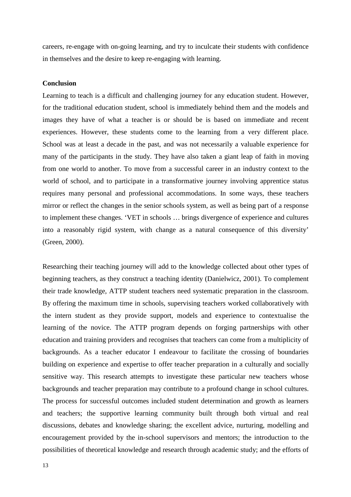careers, re-engage with on-going learning, and try to inculcate their students with confidence in themselves and the desire to keep re-engaging with learning.

#### **Conclusion**

Learning to teach is a difficult and challenging journey for any education student. However, for the traditional education student, school is immediately behind them and the models and images they have of what a teacher is or should be is based on immediate and recent experiences. However, these students come to the learning from a very different place. School was at least a decade in the past, and was not necessarily a valuable experience for many of the participants in the study. They have also taken a giant leap of faith in moving from one world to another. To move from a successful career in an industry context to the world of school, and to participate in a transformative journey involving apprentice status requires many personal and professional accommodations. In some ways, these teachers mirror or reflect the changes in the senior schools system, as well as being part of a response to implement these changes. 'VET in schools … brings divergence of experience and cultures into a reasonably rigid system, with change as a natural consequence of this diversity' (Green, 2000).

Researching their teaching journey will add to the knowledge collected about other types of beginning teachers, as they construct a teaching identity (Danielwicz, 2001). To complement their trade knowledge, ATTP student teachers need systematic preparation in the classroom. By offering the maximum time in schools, supervising teachers worked collaboratively with the intern student as they provide support, models and experience to contextualise the learning of the novice. The ATTP program depends on forging partnerships with other education and training providers and recognises that teachers can come from a multiplicity of backgrounds. As a teacher educator I endeavour to facilitate the crossing of boundaries building on experience and expertise to offer teacher preparation in a culturally and socially sensitive way. This research attempts to investigate these particular new teachers whose backgrounds and teacher preparation may contribute to a profound change in school cultures. The process for successful outcomes included student determination and growth as learners and teachers; the supportive learning community built through both virtual and real discussions, debates and knowledge sharing; the excellent advice, nurturing, modelling and encouragement provided by the in-school supervisors and mentors; the introduction to the possibilities of theoretical knowledge and research through academic study; and the efforts of